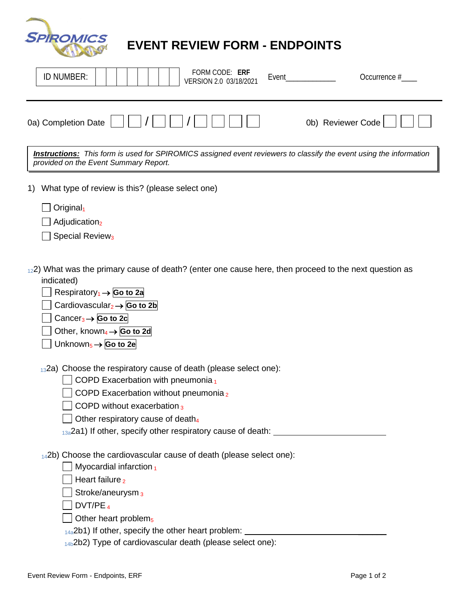| <b>SPIROMICS</b> |  |
|------------------|--|
|                  |  |

## **EVENT REVIEW FORM - ENDPOINTS**

| FORM CODE: ERF<br>ID NUMBER:<br>Occurrence #<br>Event<br>VERSION 2.0 03/18/2021                                                                                                                                                                                                                                                                                                     |
|-------------------------------------------------------------------------------------------------------------------------------------------------------------------------------------------------------------------------------------------------------------------------------------------------------------------------------------------------------------------------------------|
| 0b) Reviewer Code<br>0a) Completion Date                                                                                                                                                                                                                                                                                                                                            |
| <b>Instructions:</b> This form is used for SPIROMICS assigned event reviewers to classify the event using the information<br>provided on the Event Summary Report.                                                                                                                                                                                                                  |
| What type of review is this? (please select one)<br>1)<br>Original <sub>1</sub><br>Adjudication <sub>2</sub><br>Special Review <sub>3</sub>                                                                                                                                                                                                                                         |
| $_{12}$ 2) What was the primary cause of death? (enter one cause here, then proceed to the next question as<br>indicated)<br>Respiratory <sub>1</sub> $\rightarrow$ Go to 2a<br>Cardiovascular <sub>2</sub> $\rightarrow$ Go to 2b<br>Cancer <sub>3</sub> $\rightarrow$ Go to 2c<br>Other, known <sub>4</sub> $\rightarrow$ Go to 2d<br>Unknown <sub>5</sub> $\rightarrow$ Go to 2e |
| 132a) Choose the respiratory cause of death (please select one):<br>COPD Exacerbation with pneumonia <sub>1</sub><br>COPD Exacerbation without pneumonia <sub>2</sub><br>COPD without exacerbation <sub>3</sub><br>Other respiratory cause of death <sub>4</sub><br>$_{13a}$ 2a1) If other, specify other respiratory cause of death:                                               |
| 142b) Choose the cardiovascular cause of death (please select one):<br>Myocardial infarction 1<br>Heart failure <sub>2</sub><br>Stroke/aneurysm <sub>3</sub><br>DVT/PE $_4$<br>Other heart problem <sub>5</sub><br>$_{14a}$ 2b1) If other, specify the other heart problem: $\frac{1}{2}$<br>14b2b2) Type of cardiovascular death (please select one):                              |